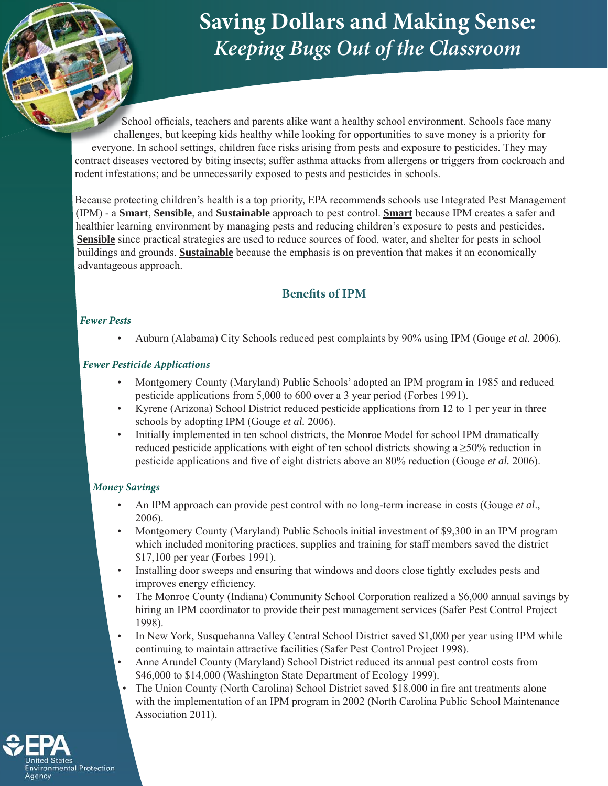# **Saving Dollars and Making Sense:** *Keeping Bugs Out of the Classroom*

School officials, teachers and parents alike want a healthy school environment. Schools face many challenges, but keeping kids healthy while looking for opportunities to save money is a priority for everyone. In school settings, children face risks arising from pests and exposure to pesticides. They may contract diseases vectored by biting insects; suffer asthma attacks from allergens or triggers from cockroach and rodent infestations; and be unnecessarily exposed to pests and pesticides in schools.

Because protecting children's health is a top priority, EPA recommends schools use Integrated Pest Management (IPM) - a **Smart**, **Sensible**, and **Sustainable** approach to pest control. **Smart** because IPM creates a safer and healthier learning environment by managing pests and reducing children's exposure to pests and pesticides. **Sensible** since practical strategies are used to reduce sources of food, water, and shelter for pests in school buildings and grounds. **Sustainable** because the emphasis is on prevention that makes it an economically advantageous approach.

## **Benefits** of **IPM**

#### **Fewer Pests**

• Auburn (Alabama) City Schools reduced pest complaints by 90% using IPM (Gouge *et al.* 2006).

#### **Fewer Pesticide Applications**

- Montgomery County (Maryland) Public Schools' adopted an IPM program in 1985 and reduced pesticide applications from 5,000 to 600 over a 3 year period (Forbes 1991).
- Kyrene (Arizona) School District reduced pesticide applications from 12 to 1 per year in three schools by adopting IPM (Gouge *et al.* 2006).
- Initially implemented in ten school districts, the Monroe Model for school IPM dramatically reduced pesticide applications with eight of ten school districts showing a  $\geq$ 50% reduction in pesticide applications and five of eight districts above an 80% reduction (Gouge *et al.* 2006).

#### **Money Savings**

- An IPM approach can provide pest control with no long-term increase in costs (Gouge *et al*., 2006).
- Montgomery County (Maryland) Public Schools initial investment of \$9,300 in an IPM program which included monitoring practices, supplies and training for staff members saved the district \$17,100 per year (Forbes 1991).
- Installing door sweeps and ensuring that windows and doors close tightly excludes pests and improves energy efficiency.
- The Monroe County (Indiana) Community School Corporation realized a \$6,000 annual savings by hiring an IPM coordinator to provide their pest management services (Safer Pest Control Project 1998).
- In New York, Susquehanna Valley Central School District saved \$1,000 per year using IPM while continuing to maintain attractive facilities (Safer Pest Control Project 1998).
- Anne Arundel County (Maryland) School District reduced its annual pest control costs from \$46,000 to \$14,000 (Washington State Department of Ecology 1999).
- The Union County (North Carolina) School District saved \$18,000 in fire ant treatments alone with the implementation of an IPM program in 2002 (North Carolina Public School Maintenance Association 2011).